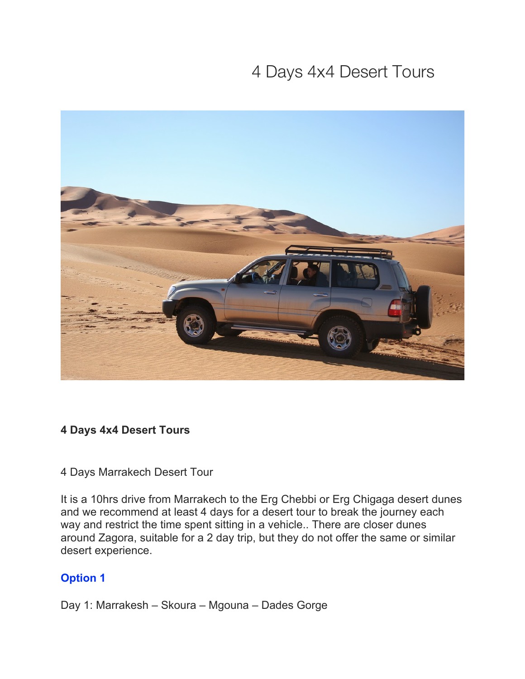# 4 Days 4x4 Desert Tours



## **4 Days 4x4 Desert Tours**

#### 4 Days Marrakech Desert Tour

It is a 10hrs drive from Marrakech to the Erg Chebbi or Erg Chigaga desert dunes and we recommend at least 4 days for a desert tour to break the journey each way and restrict the time spent sitting in a vehicle.. There are closer dunes around Zagora, suitable for a 2 day trip, but they do not offer the same or similar desert experience.

## **Option 1**

Day 1: Marrakesh – Skoura – Mgouna – Dades Gorge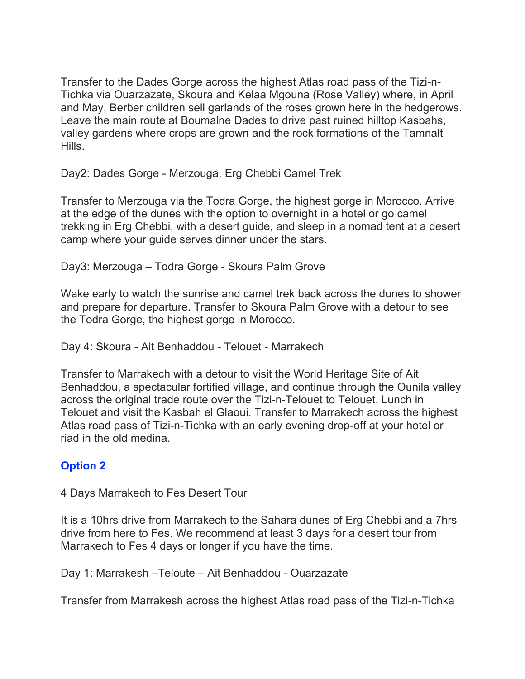Transfer to the Dades Gorge across the highest Atlas road pass of the Tizi-n-Tichka via Ouarzazate, Skoura and Kelaa Mgouna (Rose Valley) where, in April and May, Berber children sell garlands of the roses grown here in the hedgerows. Leave the main route at Boumalne Dades to drive past ruined hilltop Kasbahs, valley gardens where crops are grown and the rock formations of the Tamnalt Hills.

Day2: Dades Gorge - Merzouga. Erg Chebbi Camel Trek

Transfer to Merzouga via the Todra Gorge, the highest gorge in Morocco. Arrive at the edge of the dunes with the option to overnight in a hotel or go camel trekking in Erg Chebbi, with a desert guide, and sleep in a nomad tent at a desert camp where your guide serves dinner under the stars.

Day3: Merzouga – Todra Gorge - Skoura Palm Grove

Wake early to watch the sunrise and camel trek back across the dunes to shower and prepare for departure. Transfer to Skoura Palm Grove with a detour to see the Todra Gorge, the highest gorge in Morocco.

Day 4: Skoura - Ait Benhaddou - Telouet - Marrakech

Transfer to Marrakech with a detour to visit the World Heritage Site of Ait Benhaddou, a spectacular fortified village, and continue through the Ounila valley across the original trade route over the Tizi-n-Telouet to Telouet. Lunch in Telouet and visit the Kasbah el Glaoui. Transfer to Marrakech across the highest Atlas road pass of Tizi-n-Tichka with an early evening drop-off at your hotel or riad in the old medina.

## **Option 2**

4 Days Marrakech to Fes Desert Tour

It is a 10hrs drive from Marrakech to the Sahara dunes of Erg Chebbi and a 7hrs drive from here to Fes. We recommend at least 3 days for a desert tour from Marrakech to Fes 4 days or longer if you have the time.

Day 1: Marrakesh –Teloute – Ait Benhaddou - Ouarzazate

Transfer from Marrakesh across the highest Atlas road pass of the Tizi-n-Tichka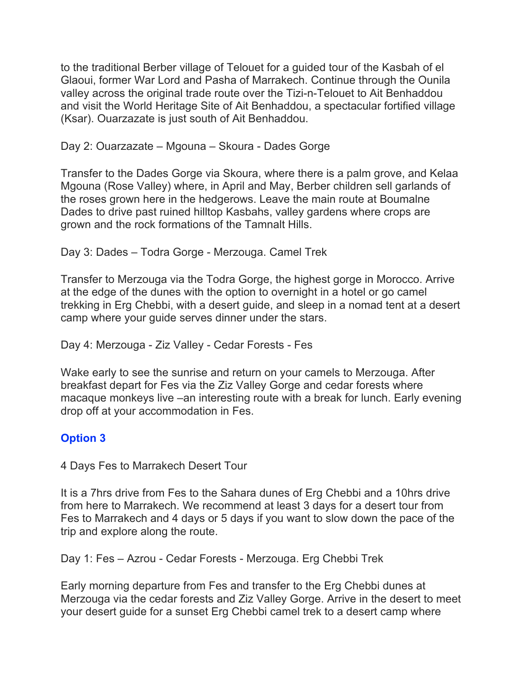to the traditional Berber village of Telouet for a guided tour of the Kasbah of el Glaoui, former War Lord and Pasha of Marrakech. Continue through the Ounila valley across the original trade route over the Tizi-n-Telouet to Ait Benhaddou and visit the World Heritage Site of Ait Benhaddou, a spectacular fortified village (Ksar). Ouarzazate is just south of Ait Benhaddou.

Day 2: Ouarzazate – Mgouna – Skoura - Dades Gorge

Transfer to the Dades Gorge via Skoura, where there is a palm grove, and Kelaa Mgouna (Rose Valley) where, in April and May, Berber children sell garlands of the roses grown here in the hedgerows. Leave the main route at Boumalne Dades to drive past ruined hilltop Kasbahs, valley gardens where crops are grown and the rock formations of the Tamnalt Hills.

Day 3: Dades – Todra Gorge - Merzouga. Camel Trek

Transfer to Merzouga via the Todra Gorge, the highest gorge in Morocco. Arrive at the edge of the dunes with the option to overnight in a hotel or go camel trekking in Erg Chebbi, with a desert guide, and sleep in a nomad tent at a desert camp where your guide serves dinner under the stars.

Day 4: Merzouga - Ziz Valley - Cedar Forests - Fes

Wake early to see the sunrise and return on your camels to Merzouga. After breakfast depart for Fes via the Ziz Valley Gorge and cedar forests where macaque monkeys live –an interesting route with a break for lunch. Early evening drop off at your accommodation in Fes.

# **Option 3**

4 Days Fes to Marrakech Desert Tour

It is a 7hrs drive from Fes to the Sahara dunes of Erg Chebbi and a 10hrs drive from here to Marrakech. We recommend at least 3 days for a desert tour from Fes to Marrakech and 4 days or 5 days if you want to slow down the pace of the trip and explore along the route.

Day 1: Fes – Azrou - Cedar Forests - Merzouga. Erg Chebbi Trek

Early morning departure from Fes and transfer to the Erg Chebbi dunes at Merzouga via the cedar forests and Ziz Valley Gorge. Arrive in the desert to meet your desert guide for a sunset Erg Chebbi camel trek to a desert camp where